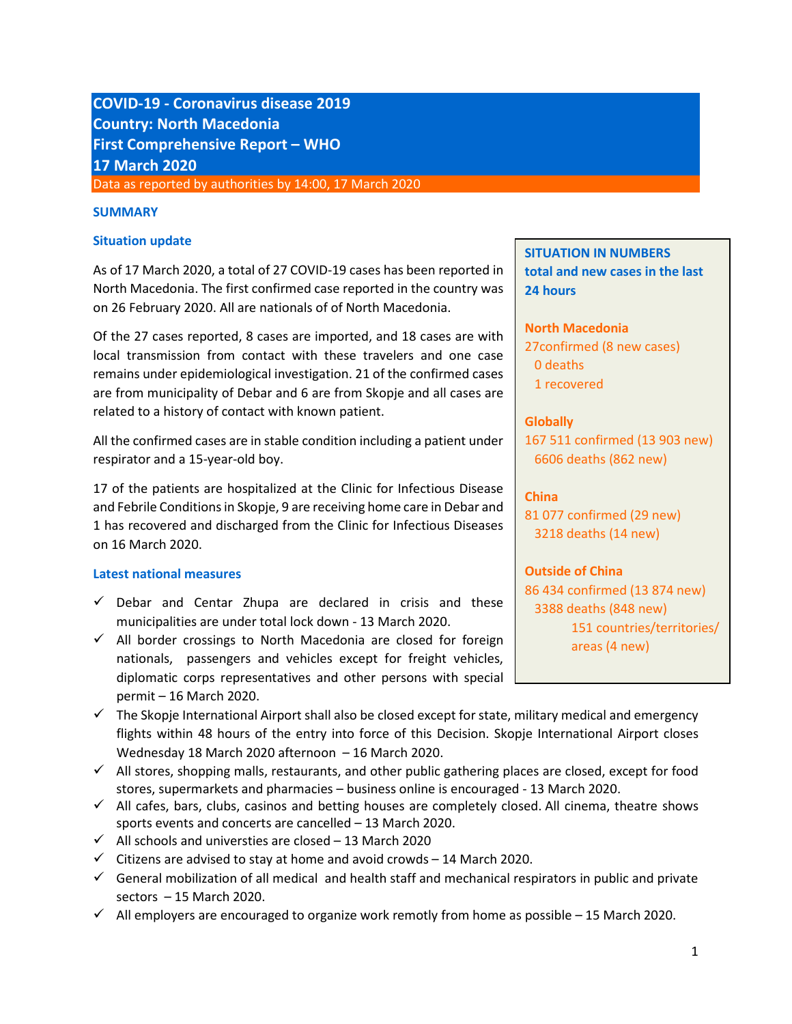# **COVID-19 - Coronavirus disease 2019 Country: North Macedonia First Comprehensive Report – WHO 17 March 2020** Data as reported by authorities by 14:00, 17 March 2020

#### **SUMMARY**

#### **Situation update**

As of 17 March 2020, a total of 27 COVID-19 cases has been reported in North Macedonia. The first confirmed case reported in the country was on 26 February 2020. All are nationals of of North Macedonia.

Of the 27 cases reported, 8 cases are imported, and 18 cases are with local transmission from contact with these travelers and one case remains under epidemiological investigation. 21 of the confirmed cases are from municipality of Debar and 6 are from Skopje and all cases are related to a history of contact with known patient.

All the confirmed cases are in stable condition including a patient under respirator and a 15-year-old boy.

17 of the patients are hospitalized at the Clinic for Infectious Disease and Febrile Conditions in Skopje, 9 are receiving home care in Debar and 1 has recovered and discharged from the Clinic for Infectious Diseases on 16 March 2020.

### **Latest national measures**

- $\checkmark$  Debar and Centar Zhupa are declared in crisis and these municipalities are under total lock down - 13 March 2020.
- $\checkmark$  All border crossings to North Macedonia are closed for foreign nationals, passengers and vehicles except for freight vehicles, diplomatic corps representatives and other persons with special permit – 16 March 2020.
- $\checkmark$  The Skopje International Airport shall also be closed except for state, military medical and emergency flights within 48 hours of the entry into force of this Decision. Skopje International Airport closes Wednesday 18 March 2020 afternoon – 16 March 2020.
- $\checkmark$  All stores, shopping malls, restaurants, and other public gathering places are closed, except for food stores, supermarkets and pharmacies – business online is encouraged - 13 March 2020.
- $\checkmark$  All cafes, bars, clubs, casinos and betting houses are completely closed. All cinema, theatre shows sports events and concerts are cancelled – 13 March 2020.
- $\checkmark$  All schools and universties are closed 13 March 2020
- $\checkmark$  Citizens are advised to stay at home and avoid crowds 14 March 2020.
- $\checkmark$  General mobilization of all medical and health staff and mechanical respirators in public and private sectors – 15 March 2020.
- $\checkmark$  All employers are encouraged to organize work remotly from home as possible 15 March 2020.

**SITUATION IN NUMBERS total and new cases in the last 24 hours**

**North Macedonia**

27confirmed (8 new cases) 0 deaths 1 recovered

**Globally** 

167 511 confirmed (13 903 new) 6606 deaths (862 new)

### **China**

81 077 confirmed (29 new) 3218 deaths (14 new)

### **Outside of China**

86 434 confirmed (13 874 new) 3388 deaths (848 new) 151 countries/territories/ areas (4 new)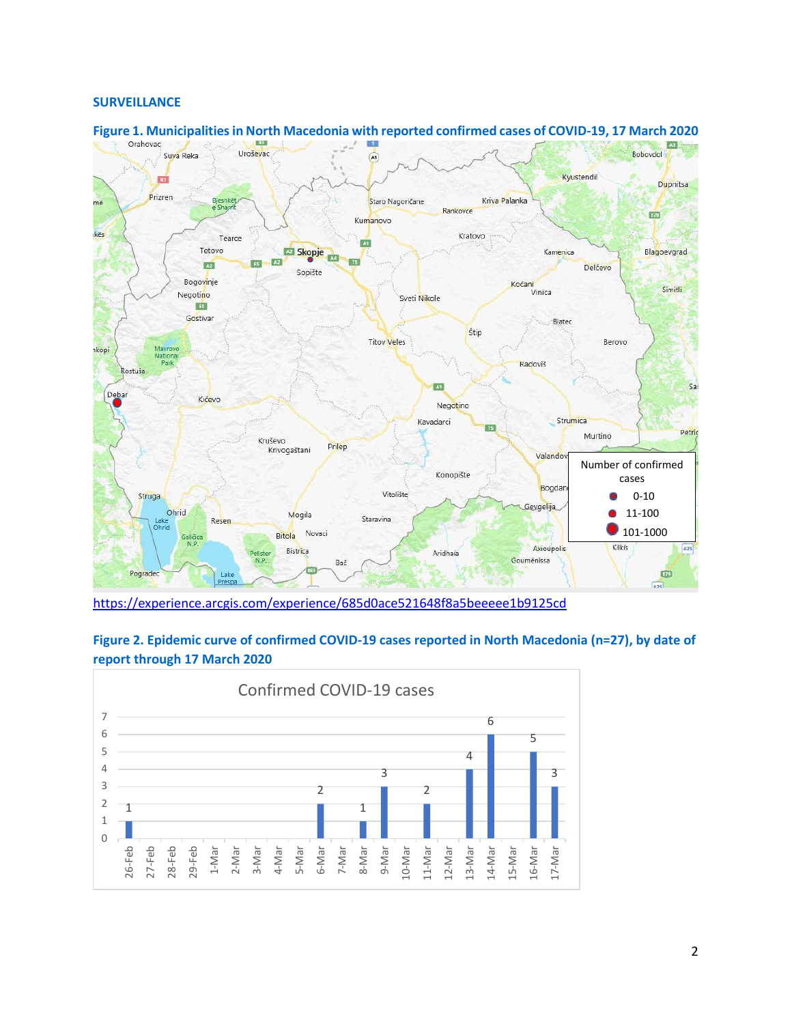#### **SURVEILLANCE**



**Figure 1. Municipalities in North Macedonia with reported confirmed cases of COVID-19, 17 March 2020** 

<https://experience.arcgis.com/experience/685d0ace521648f8a5beeeee1b9125cd>



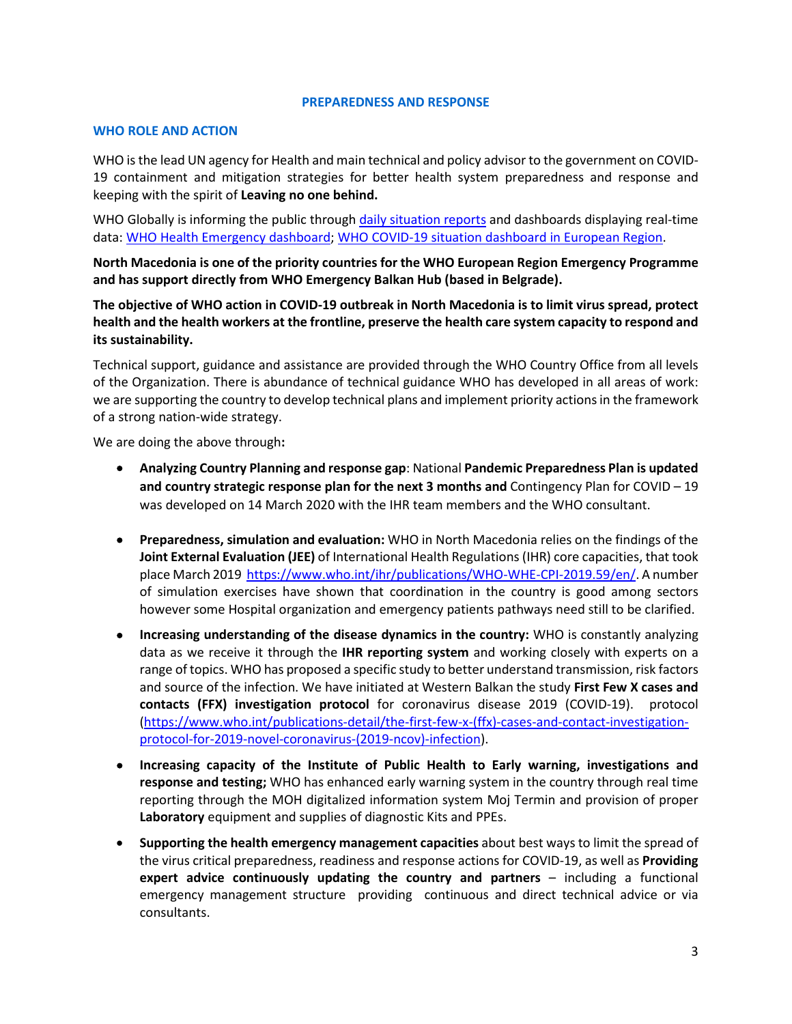#### **PREPAREDNESS AND RESPONSE**

#### **WHO ROLE AND ACTION**

WHO is the lead UN agency for Health and main technical and policy advisor to the government on COVID-19 containment and mitigation strategies for better health system preparedness and response and keeping with the spirit of **Leaving no one behind.** 

WHO Globally is informing the public through [daily situation reports](https://www.who.int/emergencies/diseases/novel-coronavirus-2019/situation-reports/) and dashboards displaying real-time data: [WHO Health Emergency dashboard;](https://extranet.who.int/publicemergency) [WHO COVID-19 situation dashboard in European Region.](http://who.maps.arcgis.com/apps/opsdashboard/index.html#/ead3c6475654481ca51c248d52ab9c61)

**North Macedonia is one of the priority countries for the WHO European Region Emergency Programme and has support directly from WHO Emergency Balkan Hub (based in Belgrade).** 

**The objective of WHO action in COVID-19 outbreak in North Macedonia is to limit virus spread, protect health and the health workers at the frontline, preserve the health care system capacity to respond and its sustainability.** 

Technical support, guidance and assistance are provided through the WHO Country Office from all levels of the Organization. There is abundance of technical guidance WHO has developed in all areas of work: we are supporting the country to develop technical plans and implement priority actions in the framework of a strong nation-wide strategy.

We are doing the above through**:** 

- **Analyzing Country Planning and response gap**: National **Pandemic Preparedness Plan is updated and country strategic response plan for the next 3 months and** Contingency Plan for COVID – 19 was developed on 14 March 2020 with the IHR team members and the WHO consultant.
- **Preparedness, simulation and evaluation:** WHO in North Macedonia relies on the findings of the **Joint External Evaluation (JEE)** of International Health Regulations (IHR) core capacities, that took place March 2019 [https://www.who.int/ihr/publications/WHO-WHE-CPI-2019.59/en/.](https://www.who.int/ihr/publications/WHO-WHE-CPI-2019.59/en/) A number of simulation exercises have shown that coordination in the country is good among sectors however some Hospital organization and emergency patients pathways need still to be clarified.
- **Increasing understanding of the disease dynamics in the country:** WHO is constantly analyzing data as we receive it through the **IHR reporting system** and working closely with experts on a range of topics. WHO has proposed a specific study to better understand transmission, risk factors and source of the infection. We have initiated at Western Balkan the study **First Few X cases and contacts (FFX) investigation protocol** for coronavirus disease 2019 (COVID-19). protocol [\(https://www.who.int/publications-detail/the-first-few-x-\(ffx\)-cases-and-contact-investigation](https://www.who.int/publications-detail/the-first-few-x-(ffx)-cases-and-contact-investigation-protocol-for-2019-novel-coronavirus-(2019-ncov)-infection)[protocol-for-2019-novel-coronavirus-\(2019-ncov\)-infection\)](https://www.who.int/publications-detail/the-first-few-x-(ffx)-cases-and-contact-investigation-protocol-for-2019-novel-coronavirus-(2019-ncov)-infection).
- **Increasing capacity of the Institute of Public Health to Early warning, investigations and response and testing;** WHO has enhanced early warning system in the country through real time reporting through the MOH digitalized information system Moj Termin and provision of proper **Laboratory** equipment and supplies of diagnostic Kits and PPEs.
- **Supporting the health emergency management capacities** about best ways to limit the spread of the virus critical preparedness, readiness and response actions for COVID-19, as well as **Providing expert advice continuously updating the country and partners** – including a functional emergency management structure providing continuous and direct technical advice or via consultants.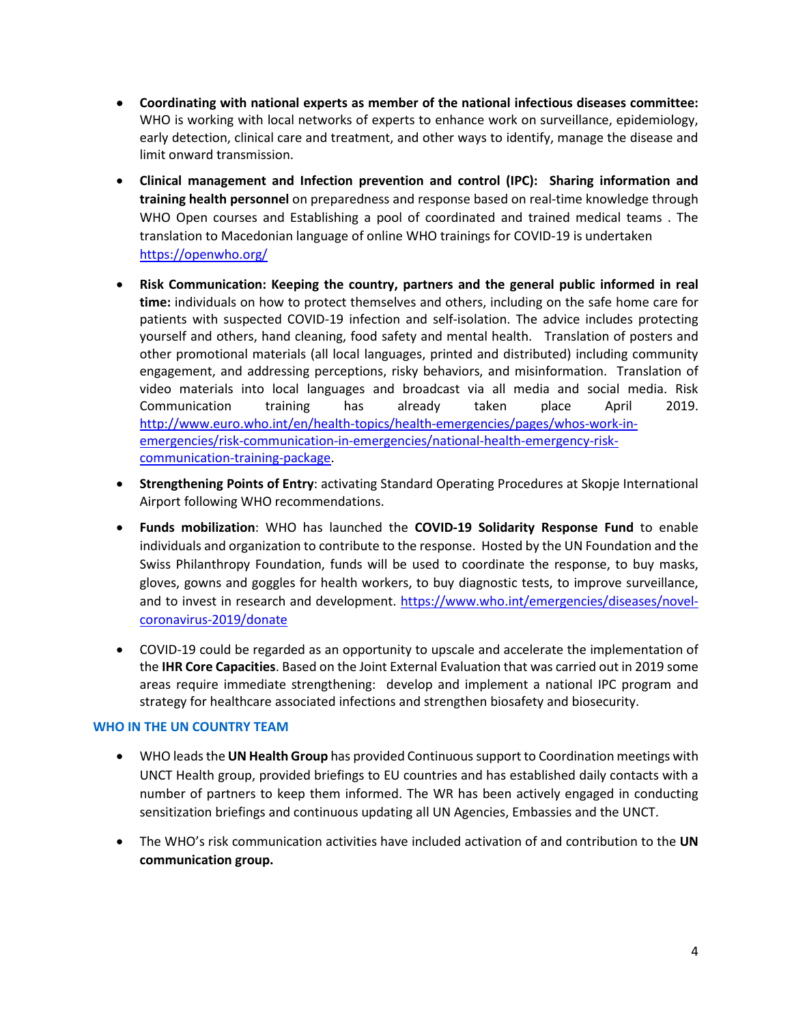- **Coordinating with national experts as member of the national infectious diseases committee:**  WHO is working with local networks of experts to enhance work on surveillance, epidemiology, early detection, clinical care and treatment, and other ways to identify, manage the disease and limit onward transmission.
- **Clinical management and Infection prevention and control (IPC): Sharing information and training health personnel** on preparedness and response based on real-time knowledge through WHO Open courses and Establishing a pool of coordinated and trained medical teams . The translation to Macedonian language of online WHO trainings for COVID-19 is undertaken <https://openwho.org/>
- **Risk Communication: Keeping the country, partners and the general public informed in real time:** individuals on how to protect themselves and others, including on the safe home care for patients with suspected COVID-19 infection and self-isolation. The advice includes protecting yourself and others, hand cleaning, food safety and mental health. Translation of posters and other promotional materials (all local languages, printed and distributed) including community engagement, and addressing perceptions, risky behaviors, and misinformation. Translation of video materials into local languages and broadcast via all media and social media. Risk Communication training has already taken place April 2019. [http://www.euro.who.int/en/health-topics/health-emergencies/pages/whos-work-in](http://www.euro.who.int/en/health-topics/health-emergencies/pages/whos-work-in-emergencies/risk-communication-in-emergencies/national-health-emergency-risk-communication-training-package)[emergencies/risk-communication-in-emergencies/national-health-emergency-risk](http://www.euro.who.int/en/health-topics/health-emergencies/pages/whos-work-in-emergencies/risk-communication-in-emergencies/national-health-emergency-risk-communication-training-package)[communication-training-package.](http://www.euro.who.int/en/health-topics/health-emergencies/pages/whos-work-in-emergencies/risk-communication-in-emergencies/national-health-emergency-risk-communication-training-package)
- **Strengthening Points of Entry**: activating Standard Operating Procedures at Skopje International Airport following WHO recommendations.
- **Funds mobilization**: WHO has launched the **COVID-19 Solidarity Response Fund** to enable individuals and organization to contribute to the response. Hosted by the UN Foundation and the Swiss Philanthropy Foundation, funds will be used to coordinate the response, to buy masks, gloves, gowns and goggles for health workers, to buy diagnostic tests, to improve surveillance, and to invest in research and development. [https://www.who.int/emergencies/diseases/novel](https://www.who.int/emergencies/diseases/novel-coronavirus-2019/donate)[coronavirus-2019/donate](https://www.who.int/emergencies/diseases/novel-coronavirus-2019/donate)
- COVID-19 could be regarded as an opportunity to upscale and accelerate the implementation of the **IHR Core Capacities**. Based on the Joint External Evaluation that was carried out in 2019 some areas require immediate strengthening: develop and implement a national IPC program and strategy for healthcare associated infections and strengthen biosafety and biosecurity.

### **WHO IN THE UN COUNTRY TEAM**

- WHO leads the **UN Health Group** has provided Continuous support to Coordination meetings with UNCT Health group, provided briefings to EU countries and has established daily contacts with a number of partners to keep them informed. The WR has been actively engaged in conducting sensitization briefings and continuous updating all UN Agencies, Embassies and the UNCT.
- The WHO's risk communication activities have included activation of and contribution to the **UN communication group.**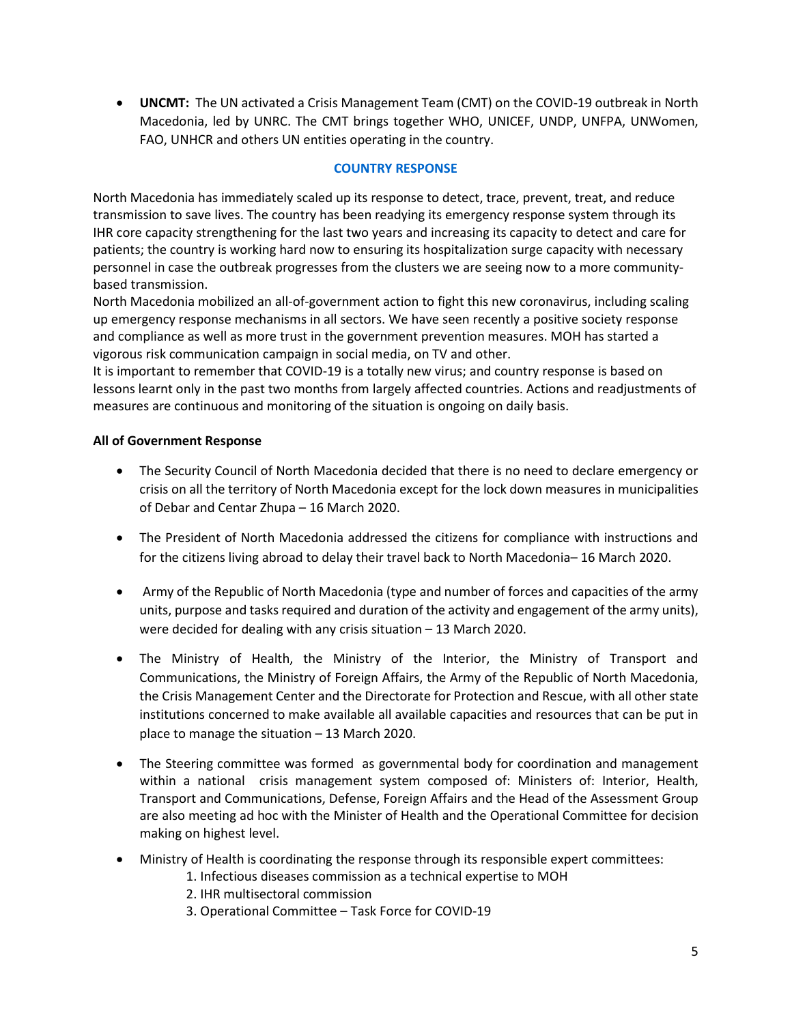• **UNCMT:** The UN activated a Crisis Management Team (CMT) on the COVID-19 outbreak in North Macedonia, led by UNRC. The CMT brings together WHO, UNICEF, UNDP, UNFPA, UNWomen, FAO, UNHCR and others UN entities operating in the country.

# **COUNTRY RESPONSE**

North Macedonia has immediately scaled up its response to detect, trace, prevent, treat, and reduce transmission to save lives. The country has been readying its emergency response system through its IHR core capacity strengthening for the last two years and increasing its capacity to detect and care for patients; the country is working hard now to ensuring its hospitalization surge capacity with necessary personnel in case the outbreak progresses from the clusters we are seeing now to a more communitybased transmission.

North Macedonia mobilized an all-of-government action to fight this new coronavirus, including scaling up emergency response mechanisms in all sectors. We have seen recently a positive society response and compliance as well as more trust in the government prevention measures. MOH has started a vigorous risk communication campaign in social media, on TV and other.

It is important to remember that COVID-19 is a totally new virus; and country response is based on lessons learnt only in the past two months from largely affected countries. Actions and readjustments of measures are continuous and monitoring of the situation is ongoing on daily basis.

### **All of Government Response**

- The Security Council of North Macedonia decided that there is no need to declare emergency or crisis on all the territory of North Macedonia except for the lock down measures in municipalities of Debar and Centar Zhupa – 16 March 2020.
- The President of North Macedonia addressed the citizens for compliance with instructions and for the citizens living abroad to delay their travel back to North Macedonia– 16 March 2020.
- Army of the Republic of North Macedonia (type and number of forces and capacities of the army units, purpose and tasks required and duration of the activity and engagement of the army units), were decided for dealing with any crisis situation – 13 March 2020.
- The Ministry of Health, the Ministry of the Interior, the Ministry of Transport and Communications, the Ministry of Foreign Affairs, the Army of the Republic of North Macedonia, the Crisis Management Center and the Directorate for Protection and Rescue, with all other state institutions concerned to make available all available capacities and resources that can be put in place to manage the situation – 13 March 2020.
- The Steering committee was formed as governmental body for coordination and management within a national crisis management system composed of: Ministers of: Interior, Health, Transport and Communications, Defense, Foreign Affairs and the Head of the Assessment Group are also meeting ad hoc with the Minister of Health and the Operational Committee for decision making on highest level.
- Ministry of Health is coordinating the response through its responsible expert committees:
	- 1. Infectious diseases commission as a technical expertise to MOH
	- 2. IHR multisectoral commission
	- 3. Operational Committee Task Force for COVID-19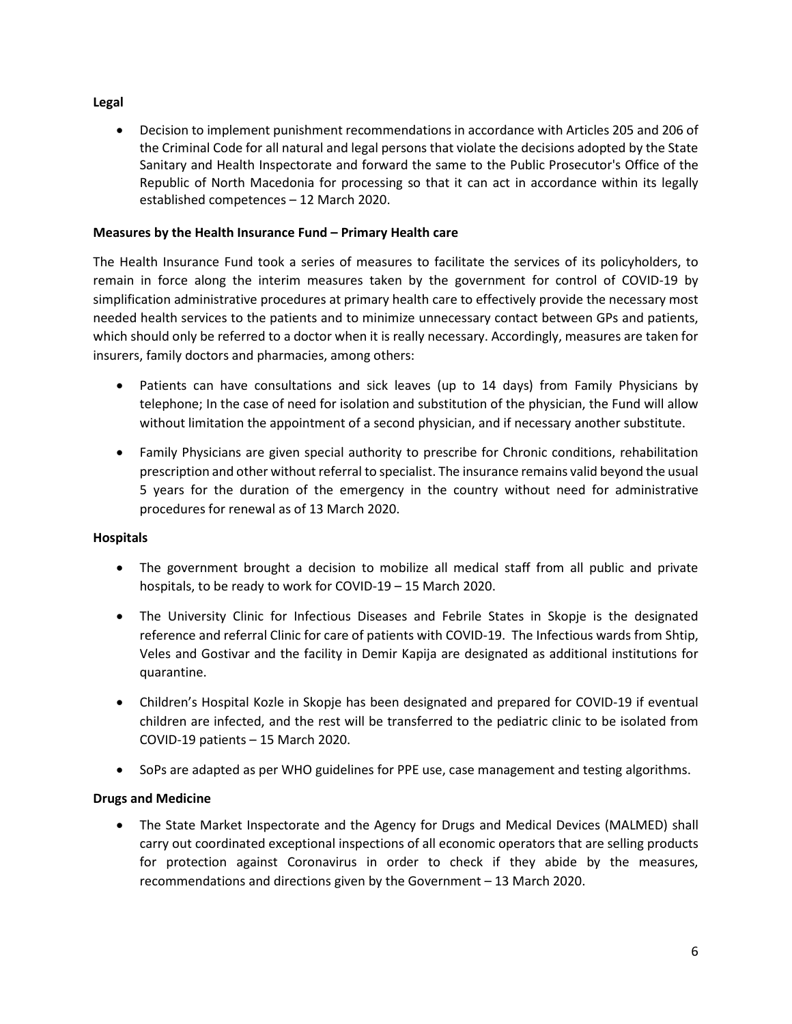# **Legal**

• Decision to implement punishment recommendations in accordance with Articles 205 and 206 of the Criminal Code for all natural and legal persons that violate the decisions adopted by the State Sanitary and Health Inspectorate and forward the same to the Public Prosecutor's Office of the Republic of North Macedonia for processing so that it can act in accordance within its legally established competences – 12 March 2020.

# **Measures by the Health Insurance Fund – Primary Health care**

The Health Insurance Fund took a series of measures to facilitate the services of its policyholders, to remain in force along the interim measures taken by the government for control of COVID-19 by simplification administrative procedures at primary health care to effectively provide the necessary most needed health services to the patients and to minimize unnecessary contact between GPs and patients, which should only be referred to a doctor when it is really necessary. Accordingly, measures are taken for insurers, family doctors and pharmacies, among others:

- Patients can have consultations and sick leaves (up to 14 days) from Family Physicians by telephone; In the case of need for isolation and substitution of the physician, the Fund will allow without limitation the appointment of a second physician, and if necessary another substitute.
- Family Physicians are given special authority to prescribe for Chronic conditions, rehabilitation prescription and other without referral to specialist. The insurance remains valid beyond the usual 5 years for the duration of the emergency in the country without need for administrative procedures for renewal as of 13 March 2020.

# **Hospitals**

- The government brought a decision to mobilize all medical staff from all public and private hospitals, to be ready to work for COVID-19 – 15 March 2020.
- The University Clinic for Infectious Diseases and Febrile States in Skopje is the designated reference and referral Clinic for care of patients with COVID-19. The Infectious wards from Shtip, Veles and Gostivar and the facility in Demir Kapija are designated as additional institutions for quarantine.
- Children's Hospital Kozle in Skopje has been designated and prepared for COVID-19 if eventual children are infected, and the rest will be transferred to the pediatric clinic to be isolated from COVID-19 patients – 15 March 2020.
- SoPs are adapted as per WHO guidelines for PPE use, case management and testing algorithms.

# **Drugs and Medicine**

• The State Market Inspectorate and the Agency for Drugs and Medical Devices (MALMED) shall carry out coordinated exceptional inspections of all economic operators that are selling products for protection against Coronavirus in order to check if they abide by the measures, recommendations and directions given by the Government – 13 March 2020.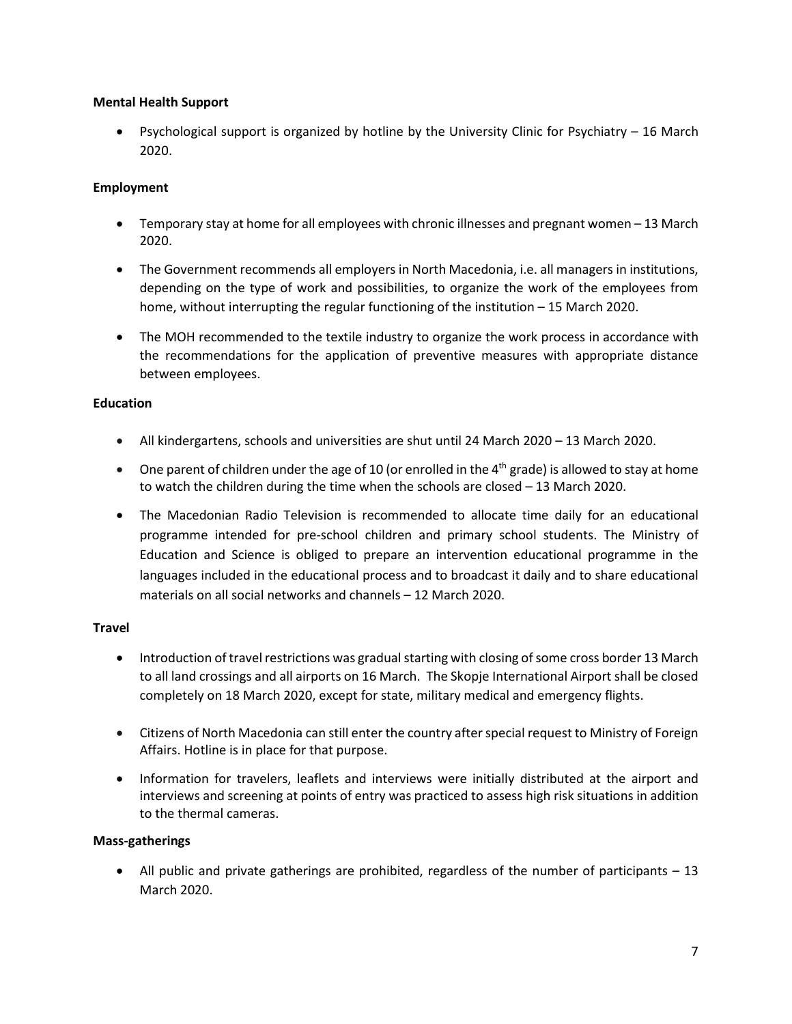# **Mental Health Support**

• Psychological support is organized by hotline by the University Clinic for Psychiatry – 16 March 2020.

# **Employment**

- Temporary stay at home for all employees with chronic illnesses and pregnant women 13 March 2020.
- The Government recommends all employers in North Macedonia, i.e. all managers in institutions, depending on the type of work and possibilities, to organize the work of the employees from home, without interrupting the regular functioning of the institution – 15 March 2020.
- The MOH recommended to the textile industry to organize the work process in accordance with the recommendations for the application of preventive measures with appropriate distance between employees.

# **Education**

- All kindergartens, schools and universities are shut until 24 March 2020 13 March 2020.
- One parent of children under the age of 10 (or enrolled in the  $4<sup>th</sup>$  grade) is allowed to stay at home to watch the children during the time when the schools are closed – 13 March 2020.
- The Macedonian Radio Television is recommended to allocate time daily for an educational programme intended for pre-school children and primary school students. The Ministry of Education and Science is obliged to prepare an intervention educational programme in the languages included in the educational process and to broadcast it daily and to share educational materials on all social networks and channels – 12 March 2020.

### **Travel**

- Introduction of travel restrictions was gradual starting with closing of some cross border 13 March to all land crossings and all airports on 16 March. The Skopje International Airport shall be closed completely on 18 March 2020, except for state, military medical and emergency flights.
- Citizens of North Macedonia can still enter the country after special request to Ministry of Foreign Affairs. Hotline is in place for that purpose.
- Information for travelers, leaflets and interviews were initially distributed at the airport and interviews and screening at points of entry was practiced to assess high risk situations in addition to the thermal cameras.

### **Mass-gatherings**

• All public and private gatherings are prohibited, regardless of the number of participants – 13 March 2020.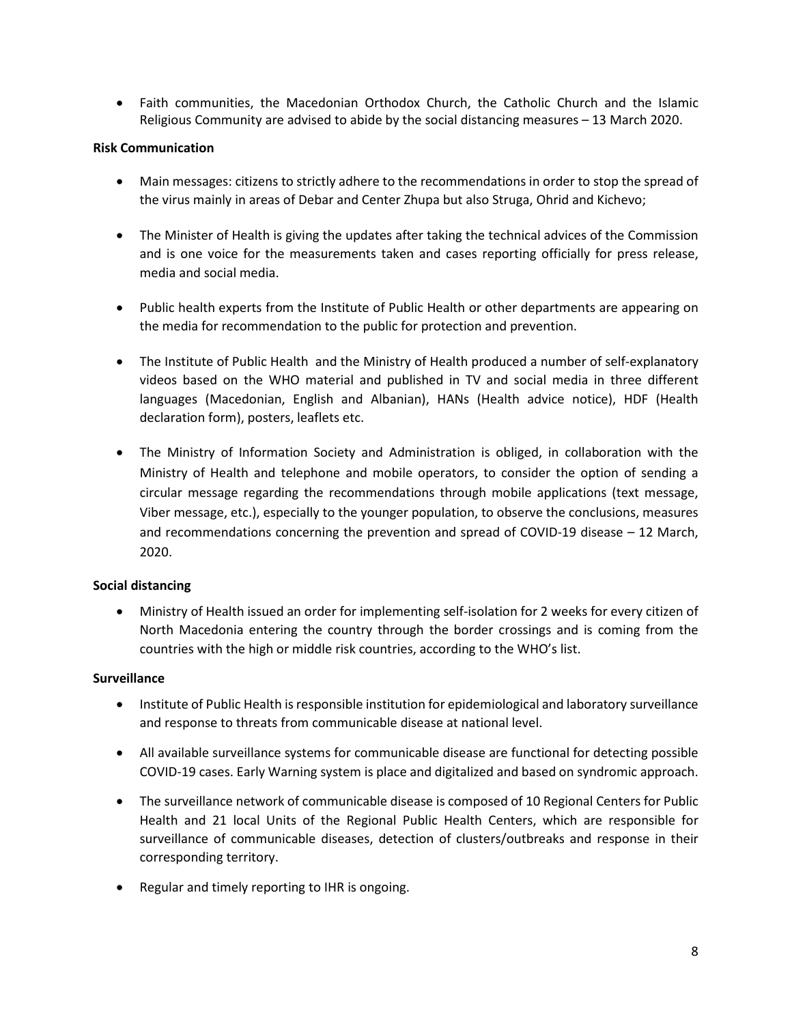• Faith communities, the Macedonian Orthodox Church, the Catholic Church and the Islamic Religious Community are advised to abide by the social distancing measures – 13 March 2020.

#### **Risk Communication**

- Main messages: citizens to strictly adhere to the recommendations in order to stop the spread of the virus mainly in areas of Debar and Center Zhupa but also Struga, Ohrid and Kichevo;
- The Minister of Health is giving the updates after taking the technical advices of the Commission and is one voice for the measurements taken and cases reporting officially for press release, media and social media.
- Public health experts from the Institute of Public Health or other departments are appearing on the media for recommendation to the public for protection and prevention.
- The Institute of Public Health and the Ministry of Health produced a number of self-explanatory videos based on the WHO material and published in TV and social media in three different languages (Macedonian, English and Albanian), HANs (Health advice notice), HDF (Health declaration form), posters, leaflets etc.
- The Ministry of Information Society and Administration is obliged, in collaboration with the Ministry of Health and telephone and mobile operators, to consider the option of sending a circular message regarding the recommendations through mobile applications (text message, Viber message, etc.), especially to the younger population, to observe the conclusions, measures and recommendations concerning the prevention and spread of COVID-19 disease – 12 March, 2020.

### **Social distancing**

• Ministry of Health issued an order for implementing self-isolation for 2 weeks for every citizen of North Macedonia entering the country through the border crossings and is coming from the countries with the high or middle risk countries, according to the WHO's list.

#### **Surveillance**

- Institute of Public Health is responsible institution for epidemiological and laboratory surveillance and response to threats from communicable disease at national level.
- All available surveillance systems for communicable disease are functional for detecting possible COVID-19 cases. Early Warning system is place and digitalized and based on syndromic approach.
- The surveillance network of communicable disease is composed of 10 Regional Centers for Public Health and 21 local Units of the Regional Public Health Centers, which are responsible for surveillance of communicable diseases, detection of clusters/outbreaks and response in their corresponding territory.
- Regular and timely reporting to IHR is ongoing.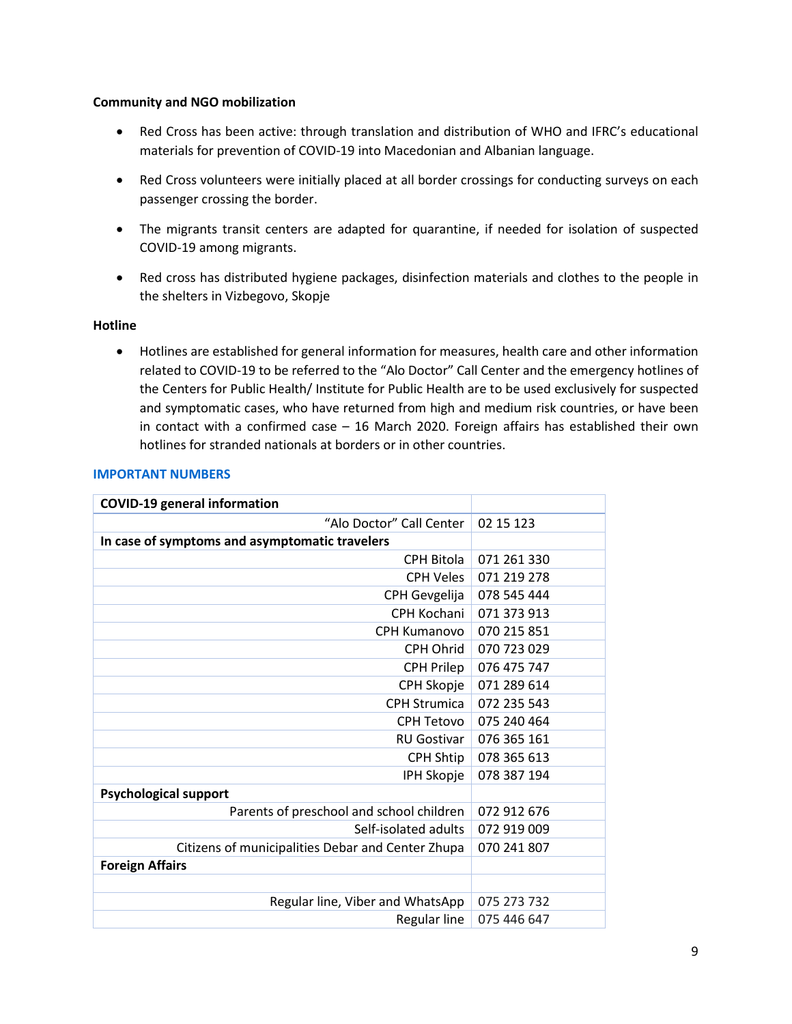#### **Community and NGO mobilization**

- Red Cross has been active: through translation and distribution of WHO and IFRC's educational materials for prevention of COVID-19 into Macedonian and Albanian language.
- Red Cross volunteers were initially placed at all border crossings for conducting surveys on each passenger crossing the border.
- The migrants transit centers are adapted for quarantine, if needed for isolation of suspected COVID-19 among migrants.
- Red cross has distributed hygiene packages, disinfection materials and clothes to the people in the shelters in Vizbegovo, Skopje

### **Hotline**

• Hotlines are established for general information for measures, health care and other information related to COVID-19 to be referred to the "Alo Doctor" Call Center and the emergency hotlines of the Centers for Public Health/ Institute for Public Health are to be used exclusively for suspected and symptomatic cases, who have returned from high and medium risk countries, or have been in contact with a confirmed case – 16 March 2020. Foreign affairs has established their own hotlines for stranded nationals at borders or in other countries.

### **IMPORTANT NUMBERS**

| <b>COVID-19 general information</b>               |             |
|---------------------------------------------------|-------------|
| "Alo Doctor" Call Center                          | 02 15 123   |
| In case of symptoms and asymptomatic travelers    |             |
| CPH Bitola                                        | 071 261 330 |
| <b>CPH Veles</b>                                  | 071 219 278 |
| CPH Gevgelija                                     | 078 545 444 |
| CPH Kochani                                       | 071 373 913 |
| CPH Kumanovo                                      | 070 215 851 |
| CPH Ohrid                                         | 070 723 029 |
| <b>CPH Prilep</b>                                 | 076 475 747 |
| CPH Skopje                                        | 071 289 614 |
| <b>CPH Strumica</b>                               | 072 235 543 |
| CPH Tetovo                                        | 075 240 464 |
| <b>RU Gostivar</b>                                | 076 365 161 |
| CPH Shtip                                         | 078 365 613 |
| IPH Skopje                                        | 078 387 194 |
| <b>Psychological support</b>                      |             |
| Parents of preschool and school children          | 072 912 676 |
| Self-isolated adults                              | 072 919 009 |
| Citizens of municipalities Debar and Center Zhupa | 070 241 807 |
| <b>Foreign Affairs</b>                            |             |
|                                                   |             |
| Regular line, Viber and WhatsApp                  | 075 273 732 |
| Regular line                                      | 075 446 647 |